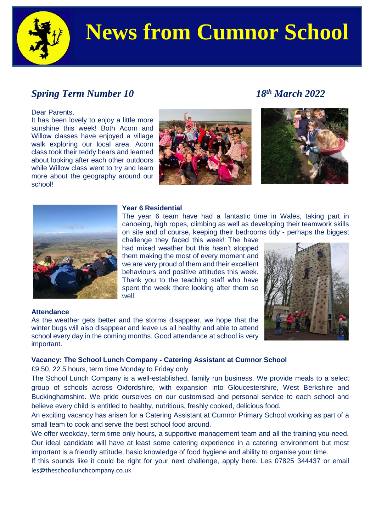

# **News from Cumnor School**

## *Spring Term Number 10 18th March 2022*

#### Dear Parents,

It has been lovely to enjoy a little more sunshine this week! Both Acorn and Willow classes have enjoyed a village walk exploring our local area. Acorn class took their teddy bears and learned about looking after each other outdoors while Willow class went to try and learn more about the geography around our school!







#### **Year 6 Residential**

The year 6 team have had a fantastic time in Wales, taking part in canoeing, high ropes, climbing as well as developing their teamwork skills on site and of course, keeping their bedrooms tidy - perhaps the biggest challenge they faced this week! The have

had mixed weather but this hasn't stopped them making the most of every moment and we are very proud of them and their excellent behaviours and positive attitudes this week. Thank you to the teaching staff who have spent the week there looking after them so well.



#### **Attendance**

As the weather gets better and the storms disappear, we hope that the winter bugs will also disappear and leave us all healthy and able to attend school every day in the coming months. Good attendance at school is very important.

### **Vacancy: The School Lunch Company - Catering Assistant at Cumnor School**

£9.50, 22.5 hours, term time Monday to Friday only

The School Lunch Company is a well-established, family run business. We provide meals to a select group of schools across Oxfordshire, with expansion into Gloucestershire, West Berkshire and Buckinghamshire. We pride ourselves on our customised and personal service to each school and believe every child is entitled to healthy, nutritious, freshly cooked, delicious food.

An exciting vacancy has arisen for a Catering Assistant at Cumnor Primary School working as part of a small team to cook and serve the best school food around.

We offer weekday, term time only hours, a supportive management team and all the training you need. Our ideal candidate will have at least some catering experience in a catering environment but most important is a friendly attitude, basic knowledge of food hygiene and ability to organise your time.

If this sounds like it could be right for your next challenge, apply here. Les 07825 344437 or email [les@theschoollunchcompany.co.uk](mailto:les@theschoollunchcompany.co.uk)